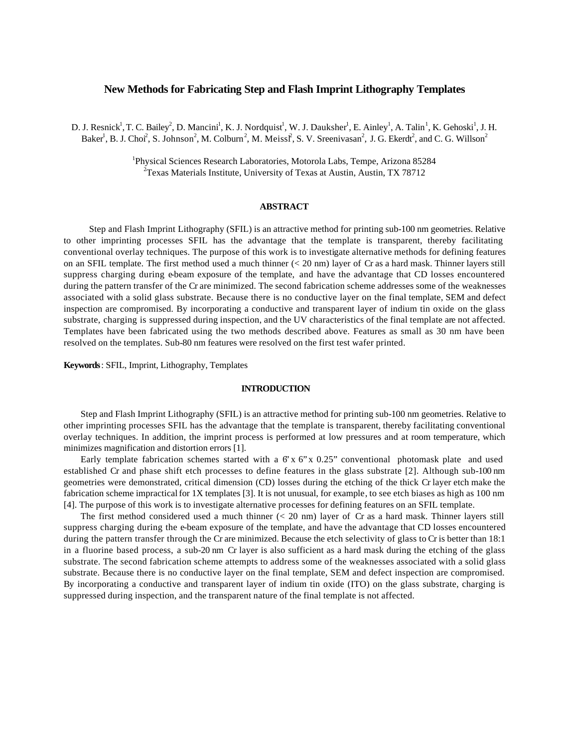# **New Methods for Fabricating Step and Flash Imprint Lithography Templates**

D. J. Resnick<sup>1</sup>, T. C. Bailey<sup>2</sup>, D. Mancini<sup>1</sup>, K. J. Nordquist<sup>1</sup>, W. J. Dauksher<sup>1</sup>, E. Ainley<sup>1</sup>, A. Talin<sup>1</sup>, K. Gehoski<sup>1</sup>, J. H. Baker<sup>1</sup>, B. J. Choi<sup>2</sup>, S. Johnson<sup>2</sup>, M. Colburn<sup>2</sup>, M. Meissi<sup>2</sup>, S. V. Sreenivasan<sup>2</sup>, J. G. Ekerdt<sup>2</sup>, and C. G. Willson<sup>2</sup>

> <sup>1</sup>Physical Sciences Research Laboratories, Motorola Labs, Tempe, Arizona 85284 2 Texas Materials Institute, University of Texas at Austin, Austin, TX 78712

## **ABSTRACT**

Step and Flash Imprint Lithography (SFIL) is an attractive method for printing sub-100 nm geometries. Relative to other imprinting processes SFIL has the advantage that the template is transparent, thereby facilitating conventional overlay techniques. The purpose of this work is to investigate alternative methods for defining features on an SFIL template. The first method used a much thinner  $( $20 \text{ nm}$ )$  layer of Cr as a hard mask. Thinner layers still suppress charging during e-beam exposure of the template, and have the advantage that CD losses encountered during the pattern transfer of the Cr are minimized. The second fabrication scheme addresses some of the weaknesses associated with a solid glass substrate. Because there is no conductive layer on the final template, SEM and defect inspection are compromised. By incorporating a conductive and transparent layer of indium tin oxide on the glass substrate, charging is suppressed during inspection, and the UV characteristics of the final template are not affected. Templates have been fabricated using the two methods described above. Features as small as 30 nm have been resolved on the templates. Sub-80 nm features were resolved on the first test wafer printed.

**Keywords**: SFIL, Imprint, Lithography, Templates

#### **INTRODUCTION**

Step and Flash Imprint Lithography (SFIL) is an attractive method for printing sub-100 nm geometries. Relative to other imprinting processes SFIL has the advantage that the template is transparent, thereby facilitating conventional overlay techniques. In addition, the imprint process is performed at low pressures and at room temperature, which minimizes magnification and distortion errors [1].

Early template fabrication schemes started with a  $6' \times 6'' \times 0.25''$  conventional photomask plate and used established Cr and phase shift etch processes to define features in the glass substrate [2]. Although sub-100 nm geometries were demonstrated, critical dimension (CD) losses during the etching of the thick Cr layer etch make the fabrication scheme impractical for 1X templates [3]. It is not unusual, for example, to see etch biases as high as 100 nm [4]. The purpose of this work is to investigate alternative processes for defining features on an SFIL template.

The first method considered used a much thinner  $( $20 \text{ nm}$ ) layer of Cr as a hard mask. Thinner layers still$ suppress charging during the e-beam exposure of the template, and have the advantage that CD losses encountered during the pattern transfer through the Cr are minimized. Because the etch selectivity of glass to Cr is better than 18:1 in a fluorine based process, a sub-20 nm Cr layer is also sufficient as a hard mask during the etching of the glass substrate. The second fabrication scheme attempts to address some of the weaknesses associated with a solid glass substrate. Because there is no conductive layer on the final template, SEM and defect inspection are compromised. By incorporating a conductive and transparent layer of indium tin oxide (ITO) on the glass substrate, charging is suppressed during inspection, and the transparent nature of the final template is not affected.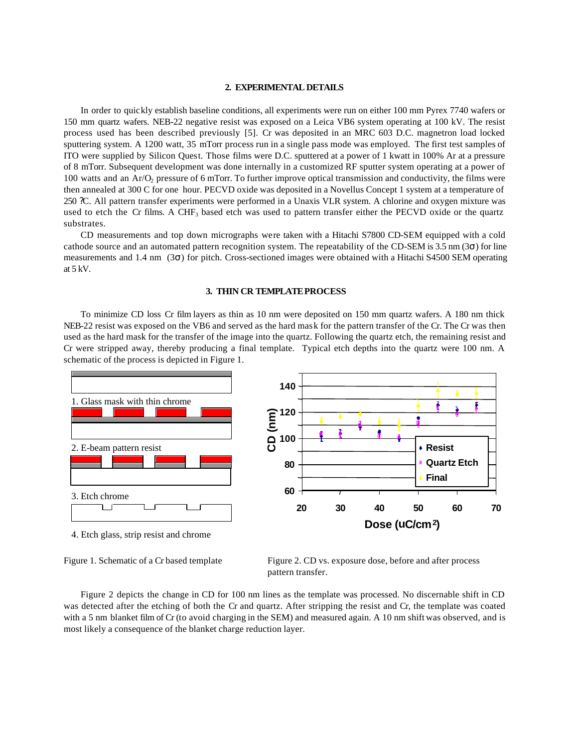## **2. EXPERIMENTAL DETAILS**

In order to quickly establish baseline conditions, all experiments were run on either 100 mm Pyrex 7740 wafers or 150 mm quartz wafers. NEB-22 negative resist was exposed on a Leica VB6 system operating at 100 kV. The resist process used has been described previously [5]. Cr was deposited in an MRC 603 D.C. magnetron load locked sputtering system. A 1200 watt, 35 mTorr process run in a single pass mode was employed. The first test samples of ITO were supplied by Silicon Quest. Those films were D.C. sputtered at a power of 1 kwatt in 100% Ar at a pressure of 8 mTorr. Subsequent development was done internally in a customized RF sputter system operating at a power of 100 watts and an Ar/O<sub>2</sub> pressure of 6 mTorr. To further improve optical transmission and conductivity, the films were then annealed at 300 C for one hour. PECVD oxide was deposited in a Novellus Concept 1 system at a temperature of 250 ?C. All pattern transfer experiments were performed in a Unaxis VLR system. A chlorine and oxygen mixture was used to etch the Cr films. A CHF<sub>3</sub> based etch was used to pattern transfer either the PECVD oxide or the quartz substrates.

CD measurements and top down micrographs were taken with a Hitachi S7800 CD-SEM equipped with a cold cathode source and an automated pattern recognition system. The repeatability of the CD-SEM is 3.5 nm (3 ) for line measurements and 1.4 nm (3 ) for pitch. Cross-sectioned images were obtained with a Hitachi S4500 SEM operating at 5 kV.

#### **3. THIN CR TEMPLATE PROCESS**

To minimize CD loss Cr film layers as thin as 10 nm were deposited on 150 mm quartz wafers. A 180 nm thick NEB-22 resist was exposed on the VB6 and served as the hard mask for the pattern transfer of the Cr. The Cr was then used as the hard mask for the transfer of the image into the quartz. Following the quartz etch, the remaining resist and Cr were stripped away, thereby producing a final template. Typical etch depths into the quartz were 100 nm. A schematic of the process is depicted in Figure 1.



4. Etch glass, strip resist and chrome

Figure 1. Schematic of a Cr based template Figure 2. CD vs. exposure dose, before and after process pattern transfer.

Figure 2 depicts the change in CD for 100 nm lines as the template was processed. No discernable shift in CD was detected after the etching of both the Cr and quartz. After stripping the resist and Cr, the template was coated with a 5 nm blanket film of Cr (to avoid charging in the SEM) and measured again. A 10 nm shift was observed, and is most likely a consequence of the blanket charge reduction layer.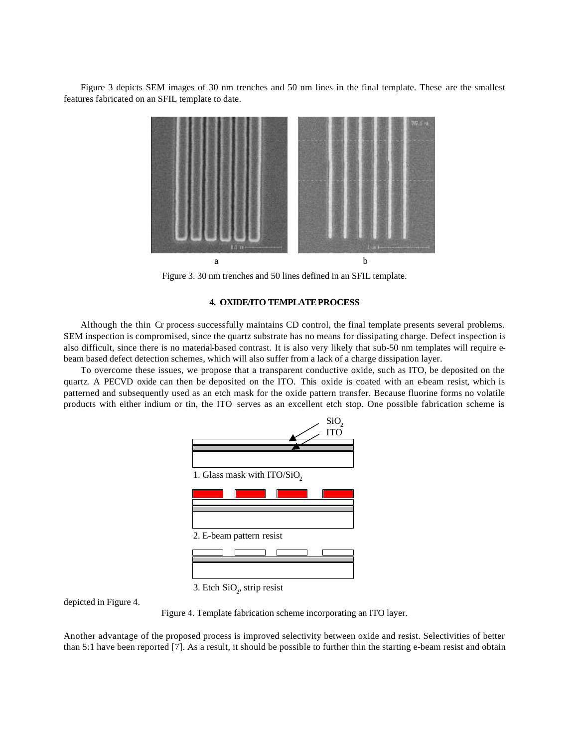Figure 3 depicts SEM images of 30 nm trenches and 50 nm lines in the final template. These are the smallest features fabricated on an SFIL template to date.



Figure 3. 30 nm trenches and 50 lines defined in an SFIL template.

# **4. OXIDE/ITO TEMPLATE PROCESS**

Although the thin Cr process successfully maintains CD control, the final template presents several problems. SEM inspection is compromised, since the quartz substrate has no means for dissipating charge. Defect inspection is also difficult, since there is no material-based contrast. It is also very likely that sub-50 nm templates will require ebeam based defect detection schemes, which will also suffer from a lack of a charge dissipation layer.

To overcome these issues, we propose that a transparent conductive oxide, such as ITO, be deposited on the quartz. A PECVD oxide can then be deposited on the ITO. This oxide is coated with an e-beam resist, which is patterned and subsequently used as an etch mask for the oxide pattern transfer. Because fluorine forms no volatile products with either indium or tin, the ITO serves as an excellent etch stop. One possible fabrication scheme is



3. Etch  $\text{SiO}_2$ , strip resist

depicted in Figure 4.

Figure 4. Template fabrication scheme incorporating an ITO layer.

Another advantage of the proposed process is improved selectivity between oxide and resist. Selectivities of better than 5:1 have been reported [7]. As a result, it should be possible to further thin the starting e-beam resist and obtain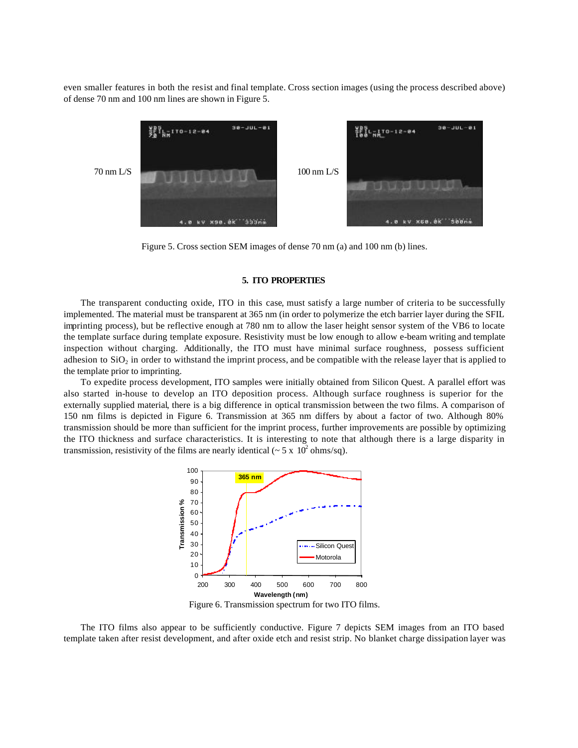even smaller features in both the resist and final template. Cross section images (using the process described above) of dense 70 nm and 100 nm lines are shown in Figure 5.



Figure 5. Cross section SEM images of dense 70 nm (a) and 100 nm (b) lines.

### **5. ITO PROPERTIES**

The transparent conducting oxide, ITO in this case, must satisfy a large number of criteria to be successfully implemented. The material must be transparent at 365 nm (in order to polymerize the etch barrier layer during the SFIL imprinting process), but be reflective enough at 780 nm to allow the laser height sensor system of the VB6 to locate the template surface during template exposure. Resistivity must be low enough to allow e-beam writing and template inspection without charging. Additionally, the ITO must have minimal surface roughness, possess sufficient adhesion to  $SiO<sub>2</sub>$  in order to withstand the imprint process, and be compatible with the release layer that is applied to the template prior to imprinting.

To expedite process development, ITO samples were initially obtained from Silicon Quest. A parallel effort was also started in-house to develop an ITO deposition process. Although surface roughness is superior for the externally supplied material, there is a big difference in optical transmission between the two films. A comparison of 150 nm films is depicted in Figure 6. Transmission at 365 nm differs by about a factor of two. Although 80% transmission should be more than sufficient for the imprint process, further improvements are possible by optimizing the ITO thickness and surface characteristics. It is interesting to note that although there is a large disparity in transmission, resistivity of the films are nearly identical ( $\sim$  5 x 10<sup>2</sup> ohms/sq).



Figure 6. Transmission spectrum for two ITO films.

The ITO films also appear to be sufficiently conductive. Figure 7 depicts SEM images from an ITO based template taken after resist development, and after oxide etch and resist strip. No blanket charge dissipation layer was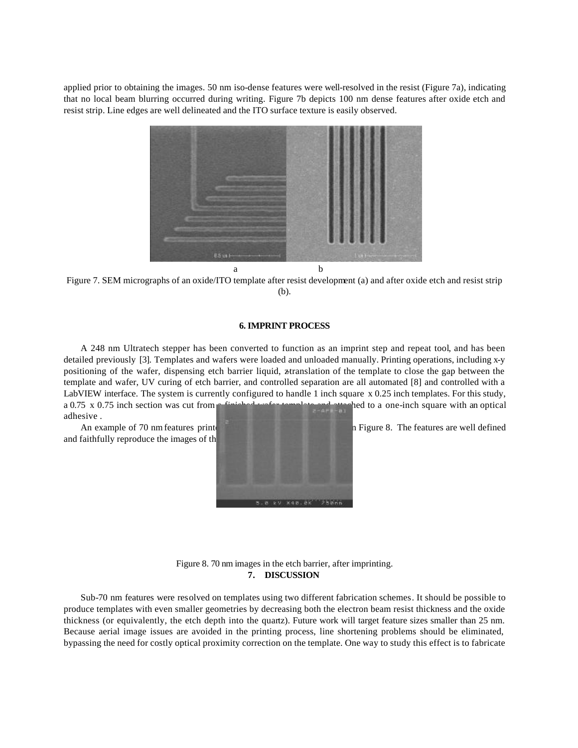applied prior to obtaining the images. 50 nm iso-dense features were well-resolved in the resist (Figure 7a), indicating that no local beam blurring occurred during writing. Figure 7b depicts 100 nm dense features after oxide etch and resist strip. Line edges are well delineated and the ITO surface texture is easily observed.



Figure 7. SEM micrographs of an oxide/ITO template after resist development (a) and after oxide etch and resist strip (b).

## **6. IMPRINT PROCESS**

A 248 nm Ultratech stepper has been converted to function as an imprint step and repeat tool, and has been detailed previously [3]. Templates and wafers were loaded and unloaded manually. Printing operations, including x-y positioning of the wafer, dispensing etch barrier liquid, ztranslation of the template to close the gap between the template and wafer, UV curing of etch barrier, and controlled separation are all automated [8] and controlled with a LabVIEW interface. The system is currently configured to handle 1 inch square x 0.25 inch templates. For this study, a 0.75 x 0.75 inch section was cut from a finished wafer template and attached to a one-inch square with an optical adhesive .

and faithfully reproduce the images of the



An example of 70 nm features printed on the first test was help figure 8. The features are well defined

Figure 8. 70 nm images in the etch barrier, after imprinting. **7. DISCUSSION**

Sub-70 nm features were resolved on templates using two different fabrication schemes. It should be possible to produce templates with even smaller geometries by decreasing both the electron beam resist thickness and the oxide thickness (or equivalently, the etch depth into the quartz). Future work will target feature sizes smaller than 25 nm. Because aerial image issues are avoided in the printing process, line shortening problems should be eliminated, bypassing the need for costly optical proximity correction on the template. One way to study this effect is to fabricate